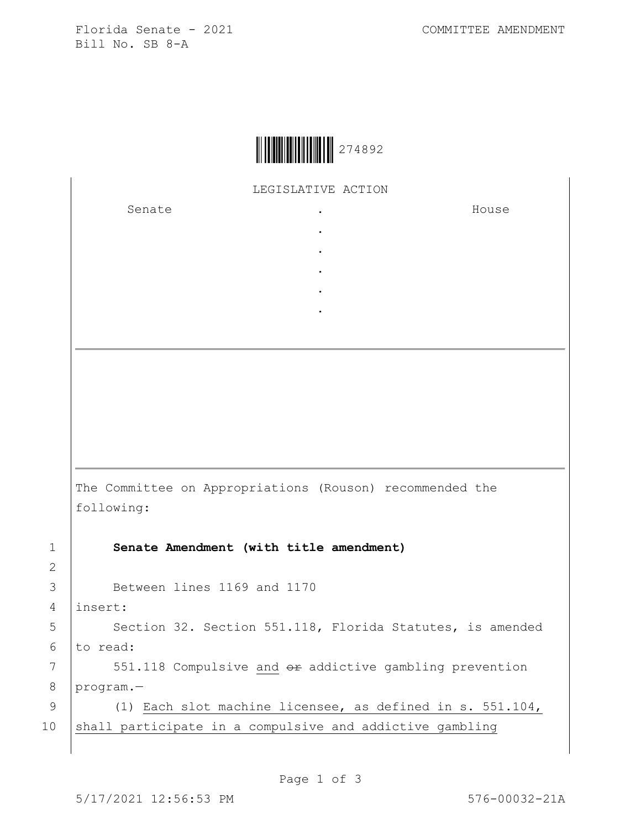Florida Senate - 2021 COMMITTEE AMENDMENT Bill No. SB 8-A

LEGISLATIVE ACTION

. . . . .

Senate .

House

The Committee on Appropriations (Rouson) recommended the following:

1 **Senate Amendment (with title amendment)**

3 Between lines 1169 and 1170

4 insert:

2

5 | Section 32. Section 551.118, Florida Statutes, is amended 6 to read:

7 | 551.118 Compulsive and  $\theta$ r addictive gambling prevention 8 program.—

9 (1) Each slot machine licensee, as defined in s. 551.104, 10 shall participate in a compulsive and addictive gambling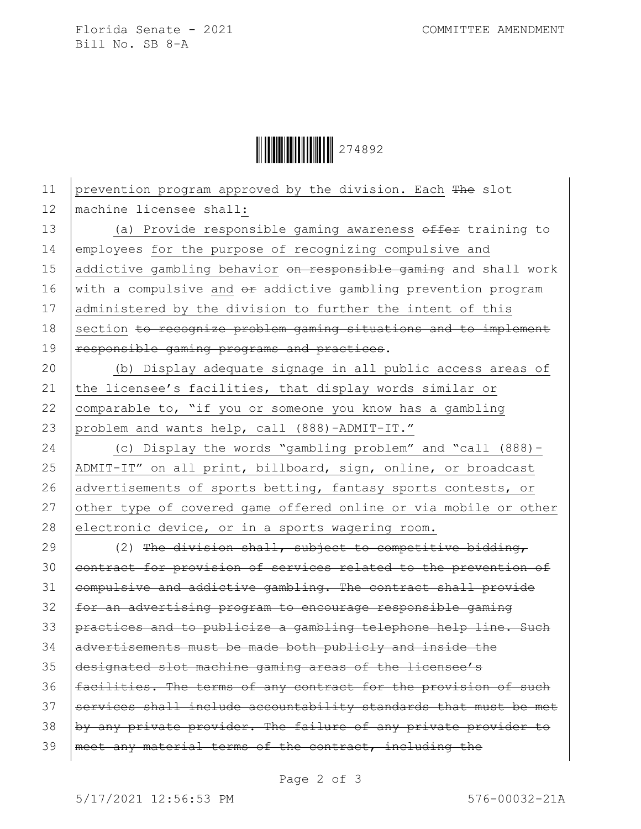Florida Senate - 2021 COMMITTEE AMENDMENT Bill No. SB 8-A

Ì274892JÎ274892

11 prevention program approved by the division. Each The slot 12 machine licensee shall: 13 (a) Provide responsible gaming awareness offer training to 14 employees for the purpose of recognizing compulsive and 15 addictive gambling behavior on responsible gaming and shall work 16  $|$  with a compulsive and  $e$  addictive gambling prevention program 17 administered by the division to further the intent of this 18 section to recognize problem gaming situations and to implement 19 | responsible gaming programs and practices. 20 (b) Display adequate signage in all public access areas of 21 the licensee's facilities, that display words similar or 22  $\vert$  comparable to, "if you or someone you know has a gambling 23 problem and wants help, call (888)-ADMIT-IT." 24 (c) Display the words "gambling problem" and "call (888)- 25 ADMIT-IT" on all print, billboard, sign, online, or broadcast 26 advertisements of sports betting, fantasy sports contests, or 27 other type of covered game offered online or via mobile or other 28 electronic device, or in a sports wagering room. 29  $(2)$  The division shall, subject to competitive bidding, 30 contract for provision of services related to the prevention of 31 eompulsive and addictive gambling. The contract shall provide 32 for an advertising program to encourage responsible gaming 33 practices and to publicize a gambling telephone help line. Such 34 advertisements must be made both publicly and inside the 35 designated slot machine gaming areas of the licensee's 36 | facilities. The terms of any contract for the provision of such 37 Services shall include accountability standards that must be met  $38$  by any private provider. The failure of any private provider to 39 | meet any material terms of the contract, including the

Page 2 of 3